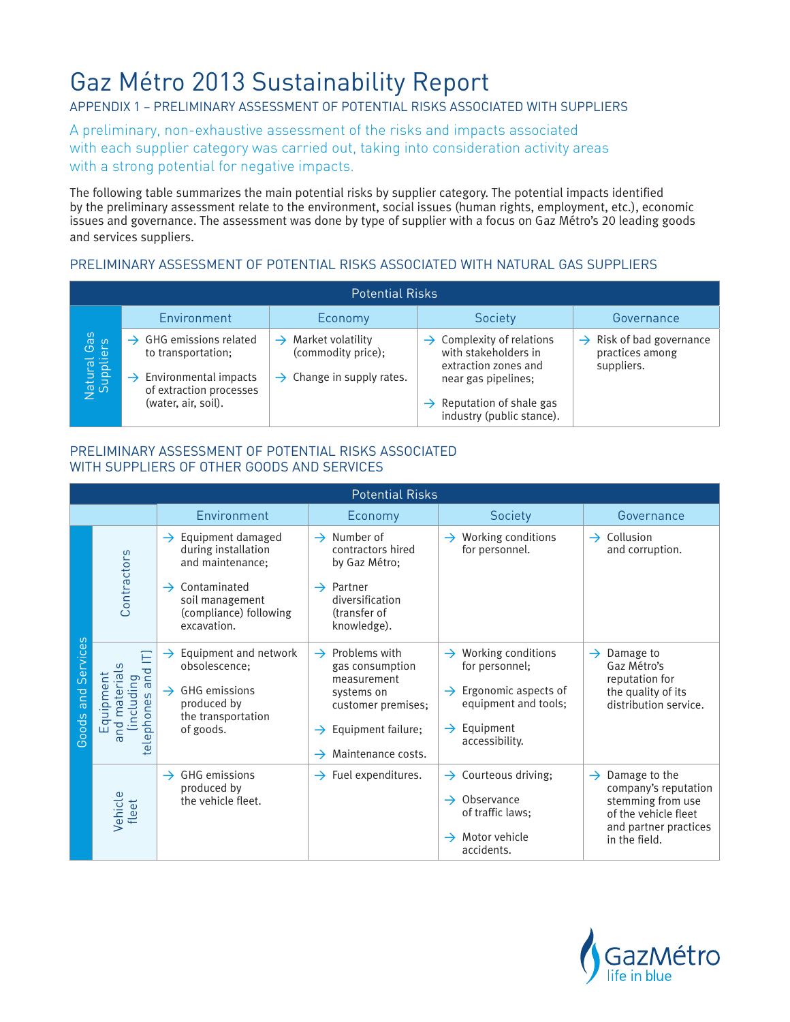## Gaz Métro 2013 Sustainability Report

## APPENDIX 1 – Preliminary assessment of potential risks associated with suppliers

A preliminary, non-exhaustive assessment of the risks and impacts associated with each supplier category was carried out, taking into consideration activity areas with a strong potential for negative impacts.

The following table summarizes the main potential risks by supplier category. The potential impacts identified by the preliminary assessment relate to the environment, social issues (human rights, employment, etc.), economic issues and governance. The assessment was done by type of supplier with a focus on Gaz Métro's 20 leading goods and services suppliers.

## Preliminary assessment of potential risks associated with natural gas suppliers

| <b>Potential Risks</b>   |                                                                                                                                |                                                                                                   |                                                                                                              |                                                                          |  |  |  |
|--------------------------|--------------------------------------------------------------------------------------------------------------------------------|---------------------------------------------------------------------------------------------------|--------------------------------------------------------------------------------------------------------------|--------------------------------------------------------------------------|--|--|--|
| Natural Gas<br>Suppliers | Environment                                                                                                                    | Economy                                                                                           | Society                                                                                                      | Governance                                                               |  |  |  |
|                          | $\rightarrow$ GHG emissions related<br>to transportation;<br>Environmental impacts<br>$\rightarrow$<br>of extraction processes | Market volatility<br>$\rightarrow$<br>(commodity price);<br>$\rightarrow$ Change in supply rates. | $\rightarrow$ Complexity of relations<br>with stakeholders in<br>extraction zones and<br>near gas pipelines; | Risk of bad governance<br>$\rightarrow$<br>practices among<br>suppliers. |  |  |  |
|                          | (water, air, soil).                                                                                                            |                                                                                                   | $\rightarrow$ Reputation of shale gas<br>industry (public stance).                                           |                                                                          |  |  |  |

## Preliminary assessment of potential risks associated with suppliers of other goods and services

| <b>Potential Risks</b>                       |                                                                                       |                                                                                                                                                                      |                                                                                                                                                                                 |                                                                                                                                                                  |                                                                                                                                               |  |  |  |
|----------------------------------------------|---------------------------------------------------------------------------------------|----------------------------------------------------------------------------------------------------------------------------------------------------------------------|---------------------------------------------------------------------------------------------------------------------------------------------------------------------------------|------------------------------------------------------------------------------------------------------------------------------------------------------------------|-----------------------------------------------------------------------------------------------------------------------------------------------|--|--|--|
| Environment                                  |                                                                                       |                                                                                                                                                                      | Economy                                                                                                                                                                         | Society                                                                                                                                                          | Governance                                                                                                                                    |  |  |  |
| Services<br>$\overline{\text{and}}$<br>Goods | Contractors                                                                           | $\rightarrow$ Equipment damaged<br>during installation<br>and maintenance;<br>$\rightarrow$ Contaminated<br>soil management<br>(compliance) following<br>excavation. | $\rightarrow$ Number of<br>contractors hired<br>by Gaz Métro;<br>$\rightarrow$ Partner<br>diversification<br>(transfer of<br>knowledge).                                        | Working conditions<br>$\rightarrow$<br>for personnel.                                                                                                            | $\rightarrow$ Collusion<br>and corruption.                                                                                                    |  |  |  |
|                                              | Ε<br>nd materials<br>PQ<br>Equipment<br>including<br>hones and<br>telepho<br>$\sigma$ | Equipment and network<br>$\rightarrow$<br>obsolescence;<br>GHG emissions<br>$\rightarrow$<br>produced by<br>the transportation<br>of goods.                          | $\rightarrow$ Problems with<br>gas consumption<br>measurement<br>systems on<br>customer premises;<br>Equipment failure;<br>$\rightarrow$<br>Maintenance costs.<br>$\rightarrow$ | $\rightarrow$ Working conditions<br>for personnel;<br>Ergonomic aspects of<br>$\rightarrow$<br>equipment and tools;<br>$\rightarrow$ Equipment<br>accessibility. | $\rightarrow$ Damage to<br>Gaz Métro's<br>reputation for<br>the quality of its<br>distribution service.                                       |  |  |  |
|                                              | Vehicle<br>fleet                                                                      | $\rightarrow$ GHG emissions<br>produced by<br>the vehicle fleet.                                                                                                     | $\rightarrow$ Fuel expenditures.                                                                                                                                                | $\rightarrow$ Courteous driving;<br>$\rightarrow$ Observance<br>of traffic laws;<br>$\rightarrow$ Motor vehicle<br>accidents.                                    | Damage to the<br>$\rightarrow$<br>company's reputation<br>stemming from use<br>of the vehicle fleet<br>and partner practices<br>in the field. |  |  |  |